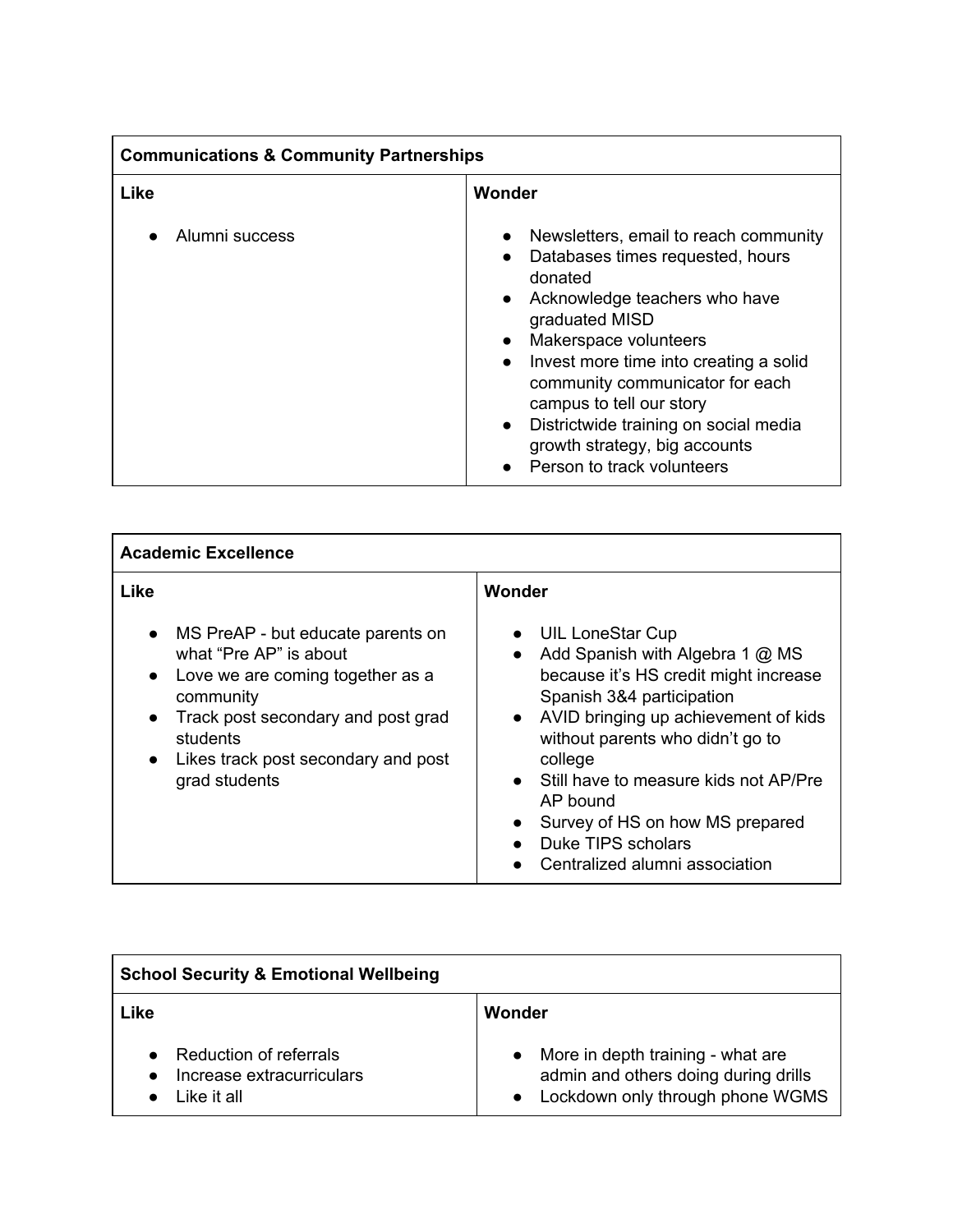| <b>Communications &amp; Community Partnerships</b> |                                                                                                                                                                                                                                                                                                                                                                                                                                                                 |  |
|----------------------------------------------------|-----------------------------------------------------------------------------------------------------------------------------------------------------------------------------------------------------------------------------------------------------------------------------------------------------------------------------------------------------------------------------------------------------------------------------------------------------------------|--|
| <b>Like</b>                                        | Wonder                                                                                                                                                                                                                                                                                                                                                                                                                                                          |  |
| Alumni success                                     | Newsletters, email to reach community<br>$\bullet$<br>Databases times requested, hours<br>$\bullet$<br>donated<br>Acknowledge teachers who have<br>$\bullet$<br>graduated MISD<br>Makerspace volunteers<br>$\bullet$<br>Invest more time into creating a solid<br>$\bullet$<br>community communicator for each<br>campus to tell our story<br>Districtwide training on social media<br>$\bullet$<br>growth strategy, big accounts<br>Person to track volunteers |  |

| <b>Academic Excellence</b>                                                                                                                                                                                                                                                 |                                                                                                                                                                                                                                                                                                                                                                                                      |  |
|----------------------------------------------------------------------------------------------------------------------------------------------------------------------------------------------------------------------------------------------------------------------------|------------------------------------------------------------------------------------------------------------------------------------------------------------------------------------------------------------------------------------------------------------------------------------------------------------------------------------------------------------------------------------------------------|--|
| Like                                                                                                                                                                                                                                                                       | Wonder                                                                                                                                                                                                                                                                                                                                                                                               |  |
| MS PreAP - but educate parents on<br>$\bullet$<br>what "Pre AP" is about<br>Love we are coming together as a<br>$\bullet$<br>community<br>Track post secondary and post grad<br>$\bullet$<br>students<br>Likes track post secondary and post<br>$\bullet$<br>grad students | • UIL LoneStar Cup<br>• Add Spanish with Algebra 1 $@$ MS<br>because it's HS credit might increase<br>Spanish 3&4 participation<br>• AVID bringing up achievement of kids<br>without parents who didn't go to<br>college<br>• Still have to measure kids not AP/Pre<br>AP bound<br>Survey of HS on how MS prepared<br>$\bullet$<br>Duke TIPS scholars<br>$\bullet$<br>Centralized alumni association |  |

| <b>School Security &amp; Emotional Wellbeing</b>                   |                                                                                                                 |
|--------------------------------------------------------------------|-----------------------------------------------------------------------------------------------------------------|
| Like                                                               | Wonder                                                                                                          |
| Reduction of referrals<br>Increase extracurriculars<br>Like it all | More in depth training - what are<br>admin and others doing during drills<br>• Lockdown only through phone WGMS |